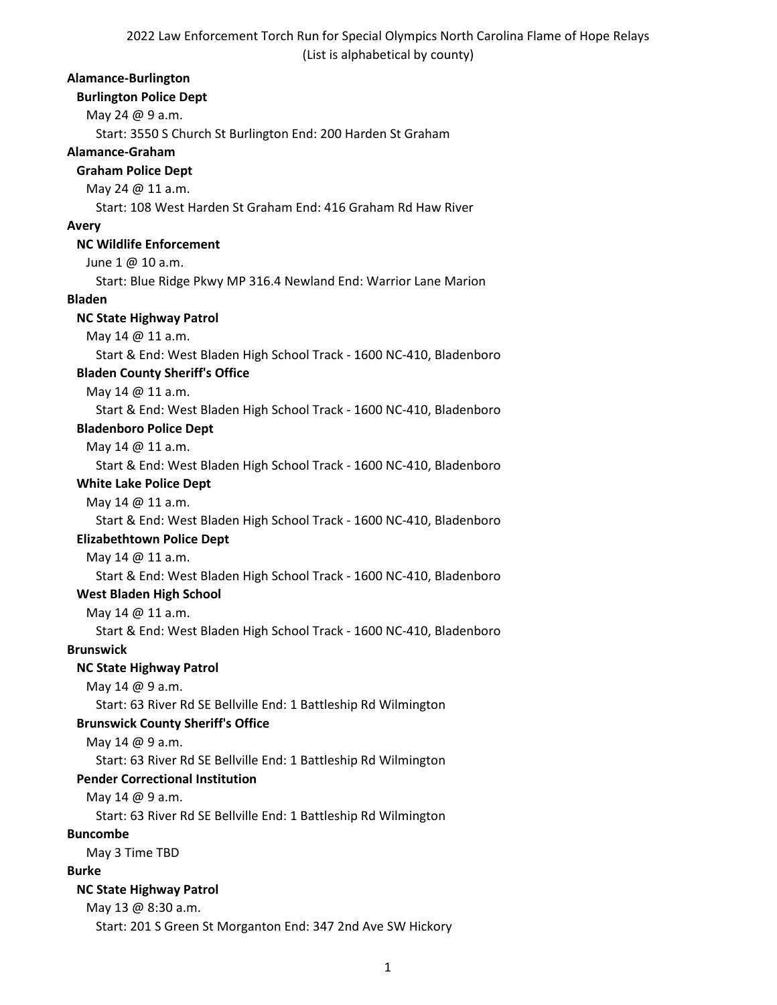## **Alamance-Burlington**

# **Burlington Police Dept** May 24 @ 9 a.m.

Start: 3550 S Church St Burlington End: 200 Harden St Graham

## **Alamance-Graham**

#### **Graham Police Dept**

May 24 @ 11 a.m.

Start: 108 West Harden St Graham End: 416 Graham Rd Haw River

#### **Avery**

# **NC Wildlife Enforcement**

June 1 @ 10 a.m.

Start: Blue Ridge Pkwy MP 316.4 Newland End: Warrior Lane Marion

#### **Bladen**

#### **NC State Highway Patrol**

May 14 @ 11 a.m.

Start & End: West Bladen High School Track - 1600 NC-410, Bladenboro

# **Bladen County Sheriff's Office**

May 14 @ 11 a.m.

Start & End: West Bladen High School Track - 1600 NC-410, Bladenboro

#### **Bladenboro Police Dept**

May 14 @ 11 a.m.

Start & End: West Bladen High School Track - 1600 NC-410, Bladenboro

# **White Lake Police Dept**

May 14 @ 11 a.m.

Start & End: West Bladen High School Track - 1600 NC-410, Bladenboro

#### **Elizabethtown Police Dept**

May 14 @ 11 a.m.

Start & End: West Bladen High School Track - 1600 NC-410, Bladenboro

## **West Bladen High School**

May 14 @ 11 a.m.

Start & End: West Bladen High School Track - 1600 NC-410, Bladenboro

# **Brunswick**

#### **NC State Highway Patrol**

May 14 @ 9 a.m.

Start: 63 River Rd SE Bellville End: 1 Battleship Rd Wilmington

#### **Brunswick County Sheriff's Office**

May 14 @ 9 a.m.

Start: 63 River Rd SE Bellville End: 1 Battleship Rd Wilmington

# **Pender Correctional Institution**

May 14 @ 9 a.m.

Start: 63 River Rd SE Bellville End: 1 Battleship Rd Wilmington

#### **Buncombe**

May 3 Time TBD

#### **Burke**

#### **NC State Highway Patrol**

May 13 @ 8:30 a.m. Start: 201 S Green St Morganton End: 347 2nd Ave SW Hickory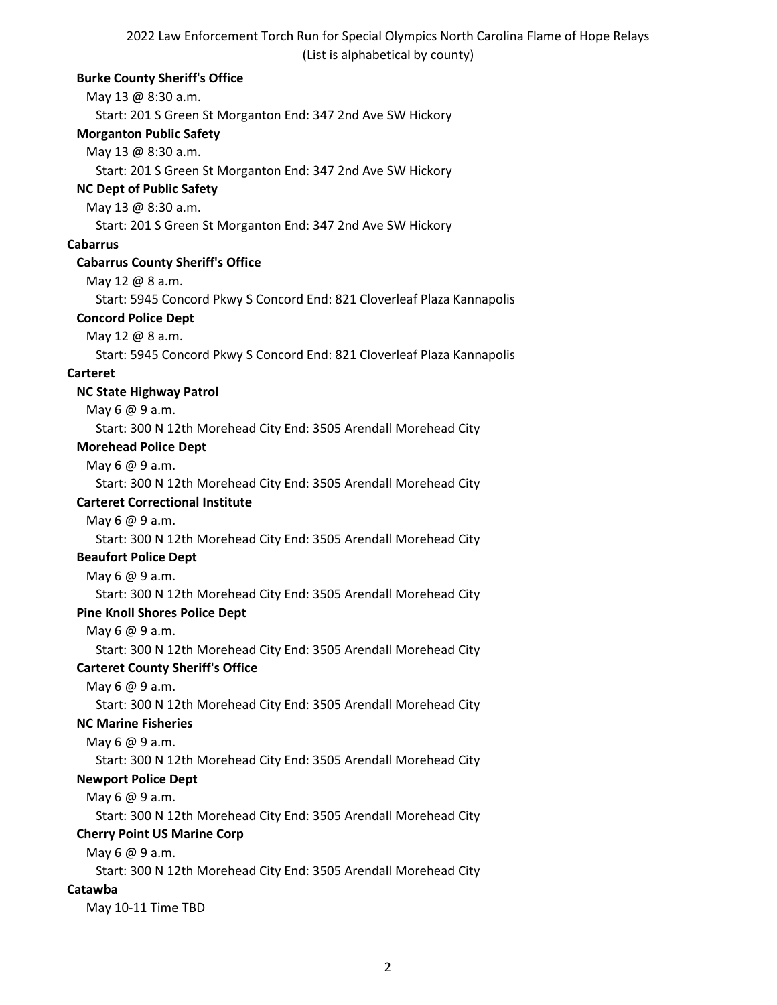#### **Burke County Sheriff's Office**

May 13 @ 8:30 a.m.

Start: 201 S Green St Morganton End: 347 2nd Ave SW Hickory

#### **Morganton Public Safety**

May 13 @ 8:30 a.m.

Start: 201 S Green St Morganton End: 347 2nd Ave SW Hickory

# **NC Dept of Public Safety**

May 13 @ 8:30 a.m.

Start: 201 S Green St Morganton End: 347 2nd Ave SW Hickory

#### **Cabarrus**

#### **Cabarrus County Sheriff's Office**

May 12 @ 8 a.m.

Start: 5945 Concord Pkwy S Concord End: 821 Cloverleaf Plaza Kannapolis

#### **Concord Police Dept**

May 12 @ 8 a.m.

Start: 5945 Concord Pkwy S Concord End: 821 Cloverleaf Plaza Kannapolis

#### **Carteret**

#### **NC State Highway Patrol**

May 6 @ 9 a.m.

Start: 300 N 12th Morehead City End: 3505 Arendall Morehead City

## **Morehead Police Dept**

May 6 @ 9 a.m.

Start: 300 N 12th Morehead City End: 3505 Arendall Morehead City

# **Carteret Correctional Institute**

May 6 @ 9 a.m.

Start: 300 N 12th Morehead City End: 3505 Arendall Morehead City

#### **Beaufort Police Dept**

May 6 @ 9 a.m.

Start: 300 N 12th Morehead City End: 3505 Arendall Morehead City

# **Pine Knoll Shores Police Dept**

May 6 @ 9 a.m.

Start: 300 N 12th Morehead City End: 3505 Arendall Morehead City

# **Carteret County Sheriff's Office**

May 6 @ 9 a.m.

Start: 300 N 12th Morehead City End: 3505 Arendall Morehead City

#### **NC Marine Fisheries**

May 6 @ 9 a.m.

Start: 300 N 12th Morehead City End: 3505 Arendall Morehead City

# **Newport Police Dept**

May 6 @ 9 a.m.

Start: 300 N 12th Morehead City End: 3505 Arendall Morehead City

# **Cherry Point US Marine Corp**

May 6 @ 9 a.m.

Start: 300 N 12th Morehead City End: 3505 Arendall Morehead City

#### **Catawba**

May 10-11 Time TBD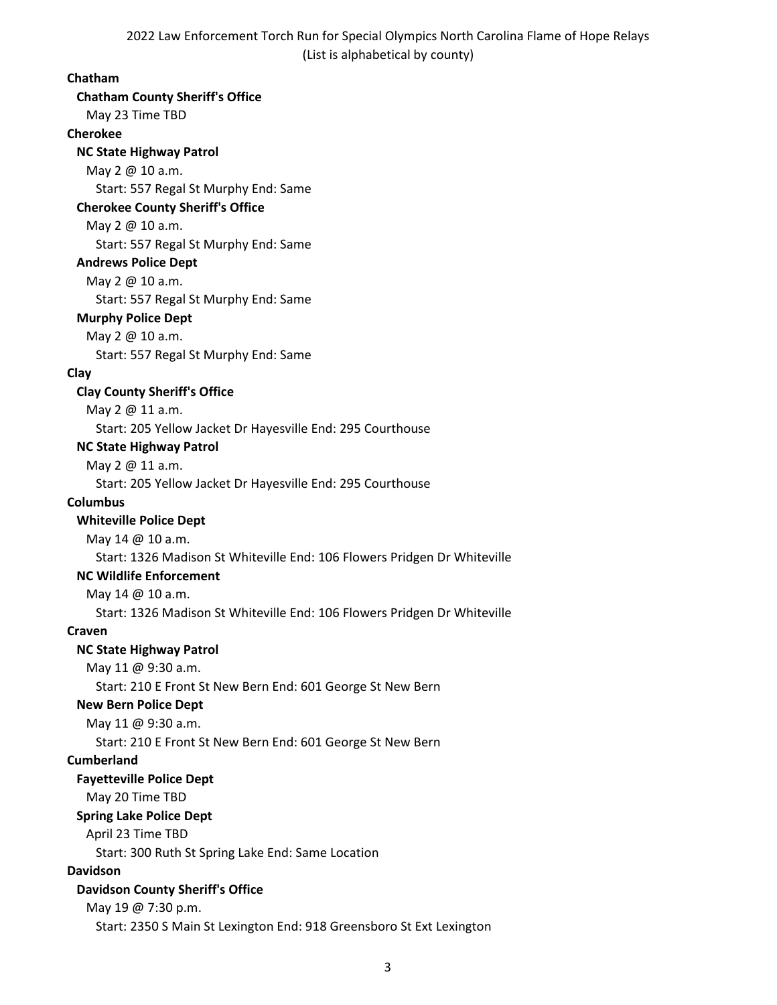## **Chatham**

**Chatham County Sheriff's Office** May 23 Time TBD **Cherokee NC State Highway Patrol** May 2 @ 10 a.m. Start: 557 Regal St Murphy End: Same **Cherokee County Sheriff's Office** May 2 @ 10 a.m. Start: 557 Regal St Murphy End: Same **Andrews Police Dept** May 2 @ 10 a.m. Start: 557 Regal St Murphy End: Same **Murphy Police Dept** May 2 @ 10 a.m. Start: 557 Regal St Murphy End: Same **Clay Clay County Sheriff's Office** May 2 @ 11 a.m. Start: 205 Yellow Jacket Dr Hayesville End: 295 Courthouse **NC State Highway Patrol** May 2 @ 11 a.m. Start: 205 Yellow Jacket Dr Hayesville End: 295 Courthouse **Columbus Whiteville Police Dept** May 14 @ 10 a.m. Start: 1326 Madison St Whiteville End: 106 Flowers Pridgen Dr Whiteville **NC Wildlife Enforcement** May 14 @ 10 a.m. Start: 1326 Madison St Whiteville End: 106 Flowers Pridgen Dr Whiteville **Craven NC State Highway Patrol** May 11 @ 9:30 a.m. Start: 210 E Front St New Bern End: 601 George St New Bern **New Bern Police Dept** May 11 @ 9:30 a.m. Start: 210 E Front St New Bern End: 601 George St New Bern **Cumberland Fayetteville Police Dept** May 20 Time TBD **Spring Lake Police Dept** April 23 Time TBD Start: 300 Ruth St Spring Lake End: Same Location **Davidson Davidson County Sheriff's Office** May 19 @ 7:30 p.m. Start: 2350 S Main St Lexington End: 918 Greensboro St Ext Lexington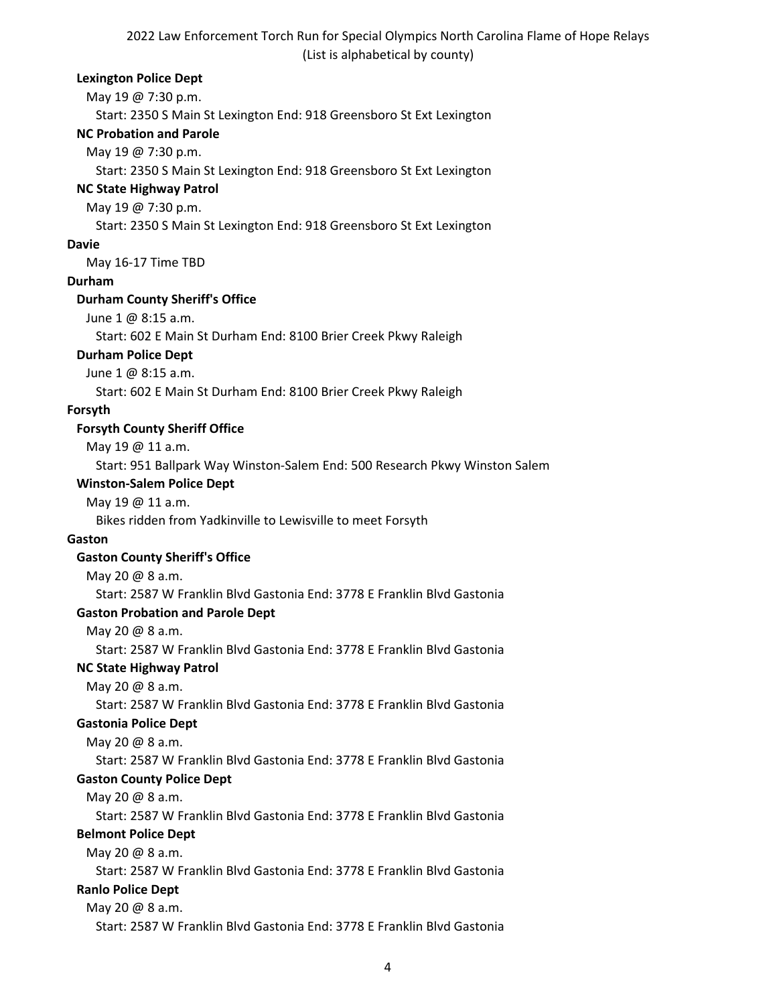#### **Lexington Police Dept**

May 19 @ 7:30 p.m.

Start: 2350 S Main St Lexington End: 918 Greensboro St Ext Lexington

## **NC Probation and Parole**

May 19 @ 7:30 p.m.

Start: 2350 S Main St Lexington End: 918 Greensboro St Ext Lexington

# **NC State Highway Patrol**

May 19 @ 7:30 p.m.

Start: 2350 S Main St Lexington End: 918 Greensboro St Ext Lexington

## **Davie**

May 16-17 Time TBD

# **Durham**

## **Durham County Sheriff's Office**

June 1 @ 8:15 a.m.

Start: 602 E Main St Durham End: 8100 Brier Creek Pkwy Raleigh

# **Durham Police Dept**

June 1 @ 8:15 a.m.

Start: 602 E Main St Durham End: 8100 Brier Creek Pkwy Raleigh

# **Forsyth**

# **Forsyth County Sheriff Office**

May 19 @ 11 a.m.

Start: 951 Ballpark Way Winston-Salem End: 500 Research Pkwy Winston Salem

# **Winston-Salem Police Dept**

# May 19 @ 11 a.m.

Bikes ridden from Yadkinville to Lewisville to meet Forsyth

#### **Gaston**

# **Gaston County Sheriff's Office**

May 20 @ 8 a.m.

Start: 2587 W Franklin Blvd Gastonia End: 3778 E Franklin Blvd Gastonia

# **Gaston Probation and Parole Dept**

May 20 @ 8 a.m.

Start: 2587 W Franklin Blvd Gastonia End: 3778 E Franklin Blvd Gastonia

# **NC State Highway Patrol**

May 20 @ 8 a.m.

Start: 2587 W Franklin Blvd Gastonia End: 3778 E Franklin Blvd Gastonia

# **Gastonia Police Dept**

May 20 @ 8 a.m.

Start: 2587 W Franklin Blvd Gastonia End: 3778 E Franklin Blvd Gastonia

# **Gaston County Police Dept**

May 20 @ 8 a.m.

Start: 2587 W Franklin Blvd Gastonia End: 3778 E Franklin Blvd Gastonia

# **Belmont Police Dept**

May 20 @ 8 a.m.

Start: 2587 W Franklin Blvd Gastonia End: 3778 E Franklin Blvd Gastonia

# **Ranlo Police Dept**

# May 20 @ 8 a.m.

Start: 2587 W Franklin Blvd Gastonia End: 3778 E Franklin Blvd Gastonia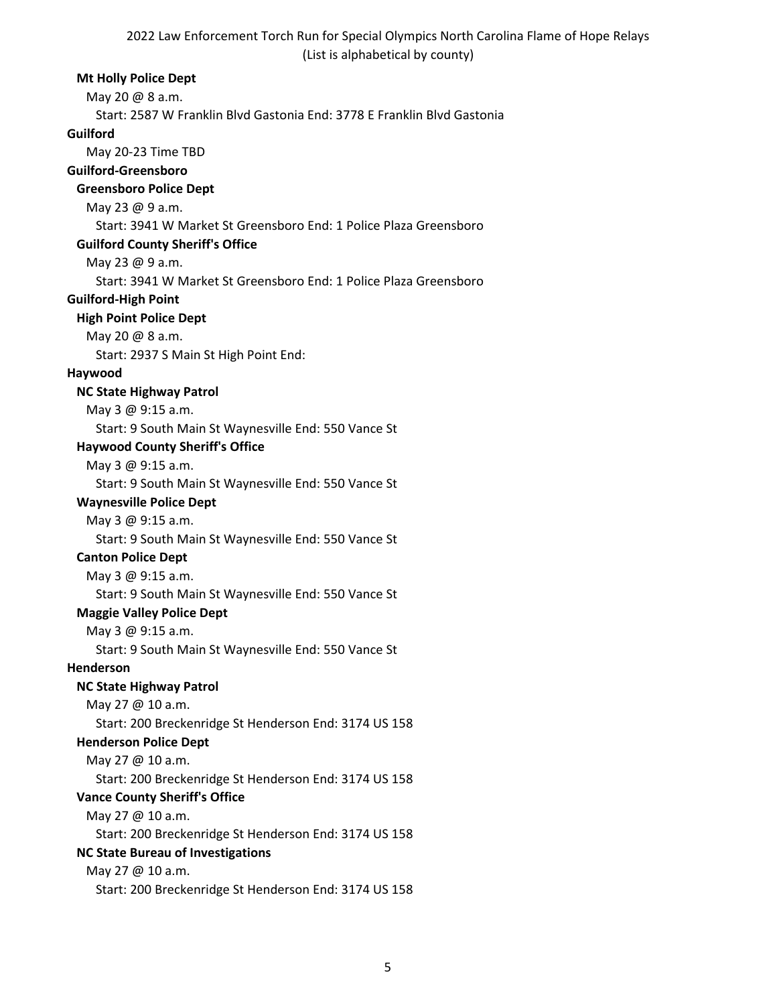#### **Mt Holly Police Dept**

May 20 @ 8 a.m.

Start: 2587 W Franklin Blvd Gastonia End: 3778 E Franklin Blvd Gastonia

#### **Guilford**

May 20-23 Time TBD

#### **Guilford-Greensboro**

## **Greensboro Police Dept**

May 23 @ 9 a.m.

Start: 3941 W Market St Greensboro End: 1 Police Plaza Greensboro

## **Guilford County Sheriff's Office**

May 23 @ 9 a.m.

Start: 3941 W Market St Greensboro End: 1 Police Plaza Greensboro

## **Guilford-High Point**

## **High Point Police Dept**

May 20 @ 8 a.m.

Start: 2937 S Main St High Point End:

## **Haywood**

## **NC State Highway Patrol**

May 3 @ 9:15 a.m.

Start: 9 South Main St Waynesville End: 550 Vance St

## **Haywood County Sheriff's Office**

May 3 @ 9:15 a.m.

Start: 9 South Main St Waynesville End: 550 Vance St

## **Waynesville Police Dept**

May 3 @ 9:15 a.m. Start: 9 South Main St Waynesville End: 550 Vance St

# **Canton Police Dept**

May 3 @ 9:15 a.m.

Start: 9 South Main St Waynesville End: 550 Vance St

# **Maggie Valley Police Dept**

May 3 @ 9:15 a.m.

Start: 9 South Main St Waynesville End: 550 Vance St

**Henderson**

# **NC State Highway Patrol**

May 27 @ 10 a.m.

Start: 200 Breckenridge St Henderson End: 3174 US 158

#### **Henderson Police Dept**

May 27 @ 10 a.m.

Start: 200 Breckenridge St Henderson End: 3174 US 158

# **Vance County Sheriff's Office**

May 27 @ 10 a.m.

Start: 200 Breckenridge St Henderson End: 3174 US 158

# **NC State Bureau of Investigations**

May 27 @ 10 a.m.

Start: 200 Breckenridge St Henderson End: 3174 US 158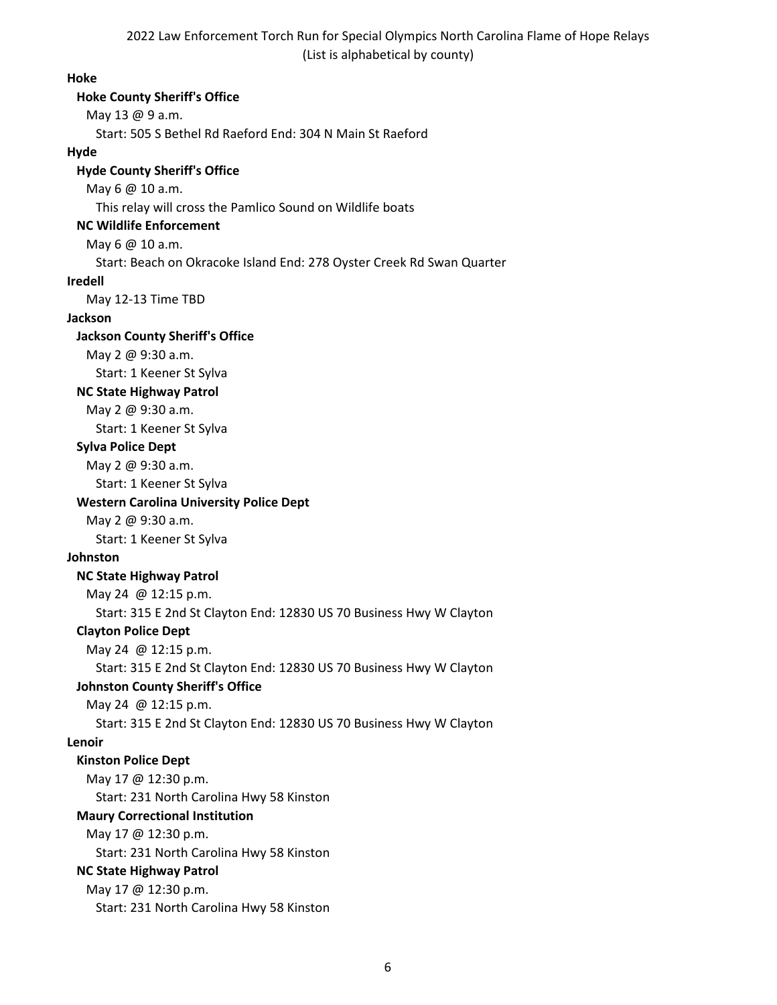**Hoke**

# **Hoke County Sheriff's Office** May 13 @ 9 a.m. Start: 505 S Bethel Rd Raeford End: 304 N Main St Raeford **Hyde Hyde County Sheriff's Office** May 6 @ 10 a.m. This relay will cross the Pamlico Sound on Wildlife boats **NC Wildlife Enforcement** May 6 @ 10 a.m. Start: Beach on Okracoke Island End: 278 Oyster Creek Rd Swan Quarter **Iredell**  May 12-13 Time TBD **Jackson Jackson County Sheriff's Office** May 2 @ 9:30 a.m. Start: 1 Keener St Sylva **NC State Highway Patrol** May 2 @ 9:30 a.m. Start: 1 Keener St Sylva **Sylva Police Dept** May 2 @ 9:30 a.m. Start: 1 Keener St Sylva **Western Carolina University Police Dept** May 2 @ 9:30 a.m. Start: 1 Keener St Sylva **Johnston NC State Highway Patrol**  May 24 @ 12:15 p.m. Start: 315 E 2nd St Clayton End: 12830 US 70 Business Hwy W Clayton **Clayton Police Dept** May 24 @ 12:15 p.m. Start: 315 E 2nd St Clayton End: 12830 US 70 Business Hwy W Clayton **Johnston County Sheriff's Office** May 24 @ 12:15 p.m. Start: 315 E 2nd St Clayton End: 12830 US 70 Business Hwy W Clayton **Lenoir Kinston Police Dept** May 17 @ 12:30 p.m. Start: 231 North Carolina Hwy 58 Kinston **Maury Correctional Institution** May 17 @ 12:30 p.m. Start: 231 North Carolina Hwy 58 Kinston **NC State Highway Patrol**  May 17 @ 12:30 p.m. Start: 231 North Carolina Hwy 58 Kinston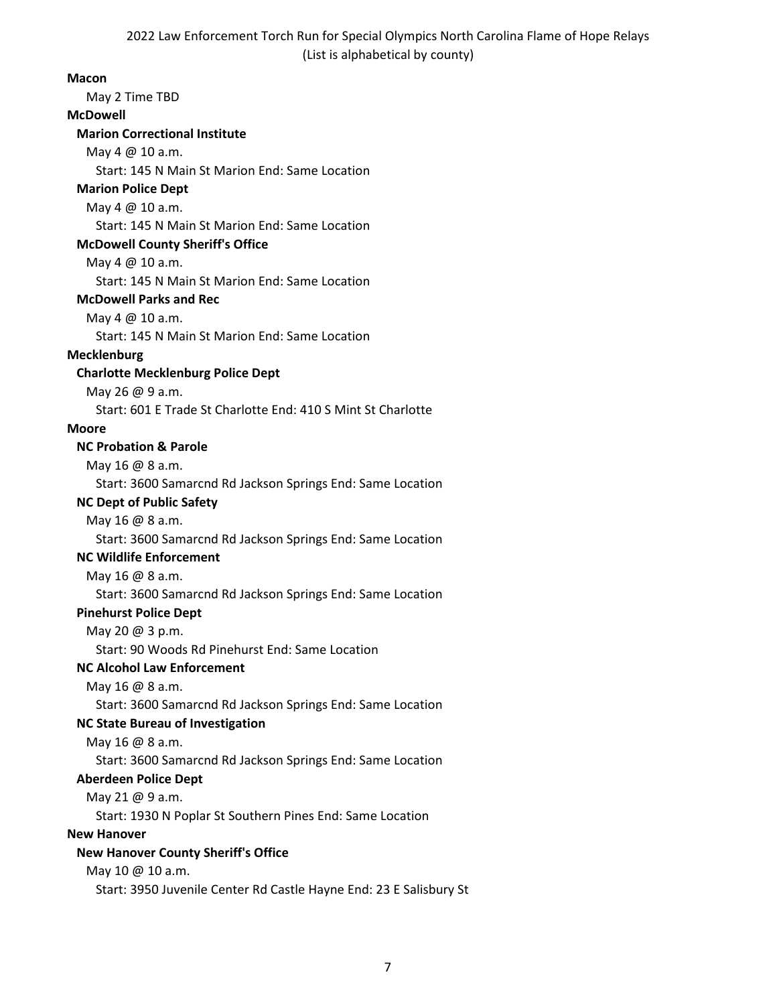#### **Macon**

May 2 Time TBD

#### **McDowell**

## **Marion Correctional Institute**

May 4 @ 10 a.m.

Start: 145 N Main St Marion End: Same Location

# **Marion Police Dept**

# May 4 @ 10 a.m.

Start: 145 N Main St Marion End: Same Location

#### **McDowell County Sheriff's Office**

May 4 @ 10 a.m.

Start: 145 N Main St Marion End: Same Location

## **McDowell Parks and Rec**

May 4 @ 10 a.m.

Start: 145 N Main St Marion End: Same Location

## **Mecklenburg**

# **Charlotte Mecklenburg Police Dept**

May 26 @ 9 a.m.

Start: 601 E Trade St Charlotte End: 410 S Mint St Charlotte

## **Moore**

# **NC Probation & Parole**

May 16 @ 8 a.m.

Start: 3600 Samarcnd Rd Jackson Springs End: Same Location

#### **NC Dept of Public Safety**

May 16 @ 8 a.m.

Start: 3600 Samarcnd Rd Jackson Springs End: Same Location

# **NC Wildlife Enforcement**

May 16 @ 8 a.m.

Start: 3600 Samarcnd Rd Jackson Springs End: Same Location

#### **Pinehurst Police Dept**

May 20 @ 3 p.m.

Start: 90 Woods Rd Pinehurst End: Same Location

# **NC Alcohol Law Enforcement**

May 16 @ 8 a.m.

Start: 3600 Samarcnd Rd Jackson Springs End: Same Location

# **NC State Bureau of Investigation**

May 16 @ 8 a.m.

Start: 3600 Samarcnd Rd Jackson Springs End: Same Location

#### **Aberdeen Police Dept**

May 21 @ 9 a.m.

Start: 1930 N Poplar St Southern Pines End: Same Location

#### **New Hanover**

# **New Hanover County Sheriff's Office**

May 10 @ 10 a.m.

Start: 3950 Juvenile Center Rd Castle Hayne End: 23 E Salisbury St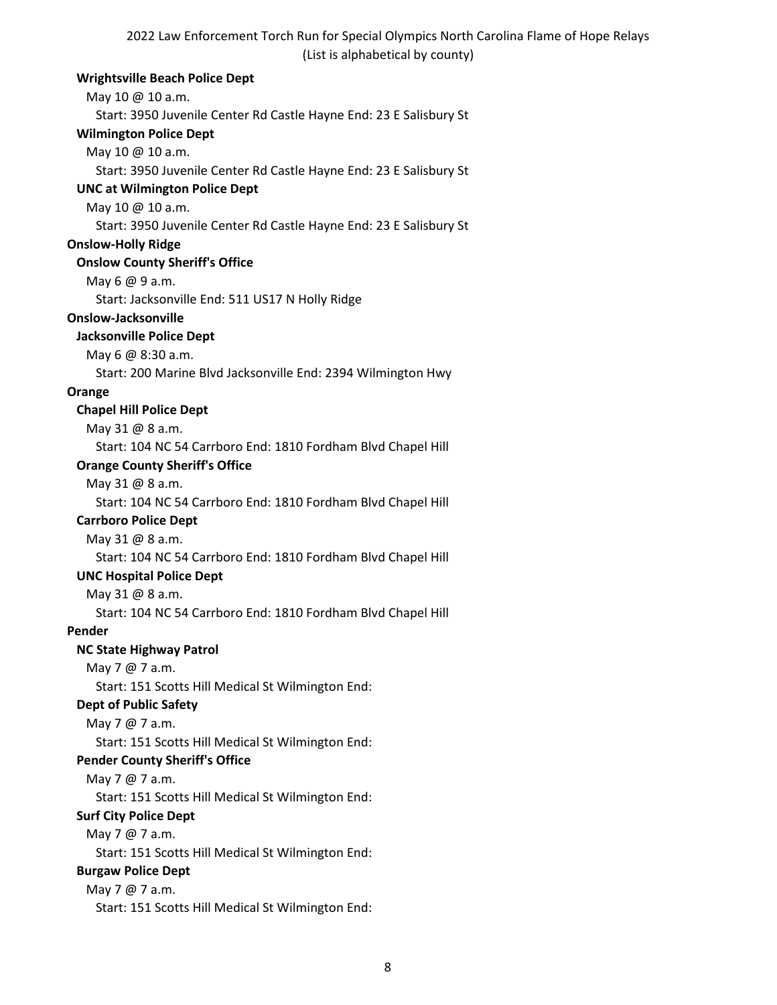## **Wrightsville Beach Police Dept**

May 10 @ 10 a.m. Start: 3950 Juvenile Center Rd Castle Hayne End: 23 E Salisbury St **Wilmington Police Dept** May 10 @ 10 a.m. Start: 3950 Juvenile Center Rd Castle Hayne End: 23 E Salisbury St **UNC at Wilmington Police Dept** May 10 @ 10 a.m. Start: 3950 Juvenile Center Rd Castle Hayne End: 23 E Salisbury St **Onslow-Holly Ridge Onslow County Sheriff's Office** May 6 @ 9 a.m. Start: Jacksonville End: 511 US17 N Holly Ridge **Onslow-Jacksonville Jacksonville Police Dept** May 6 @ 8:30 a.m. Start: 200 Marine Blvd Jacksonville End: 2394 Wilmington Hwy **Orange Chapel Hill Police Dept** May 31 @ 8 a.m. Start: 104 NC 54 Carrboro End: 1810 Fordham Blvd Chapel Hill **Orange County Sheriff's Office** May 31 @ 8 a.m. Start: 104 NC 54 Carrboro End: 1810 Fordham Blvd Chapel Hill **Carrboro Police Dept** May 31 @ 8 a.m. Start: 104 NC 54 Carrboro End: 1810 Fordham Blvd Chapel Hill **UNC Hospital Police Dept** May 31 @ 8 a.m. Start: 104 NC 54 Carrboro End: 1810 Fordham Blvd Chapel Hill **Pender NC State Highway Patrol** May 7 @ 7 a.m. Start: 151 Scotts Hill Medical St Wilmington End: **Dept of Public Safety** May 7 @ 7 a.m. Start: 151 Scotts Hill Medical St Wilmington End: **Pender County Sheriff's Office** May 7 @ 7 a.m. Start: 151 Scotts Hill Medical St Wilmington End: **Surf City Police Dept** May 7 @ 7 a.m. Start: 151 Scotts Hill Medical St Wilmington End: **Burgaw Police Dept** May 7 @ 7 a.m. Start: 151 Scotts Hill Medical St Wilmington End: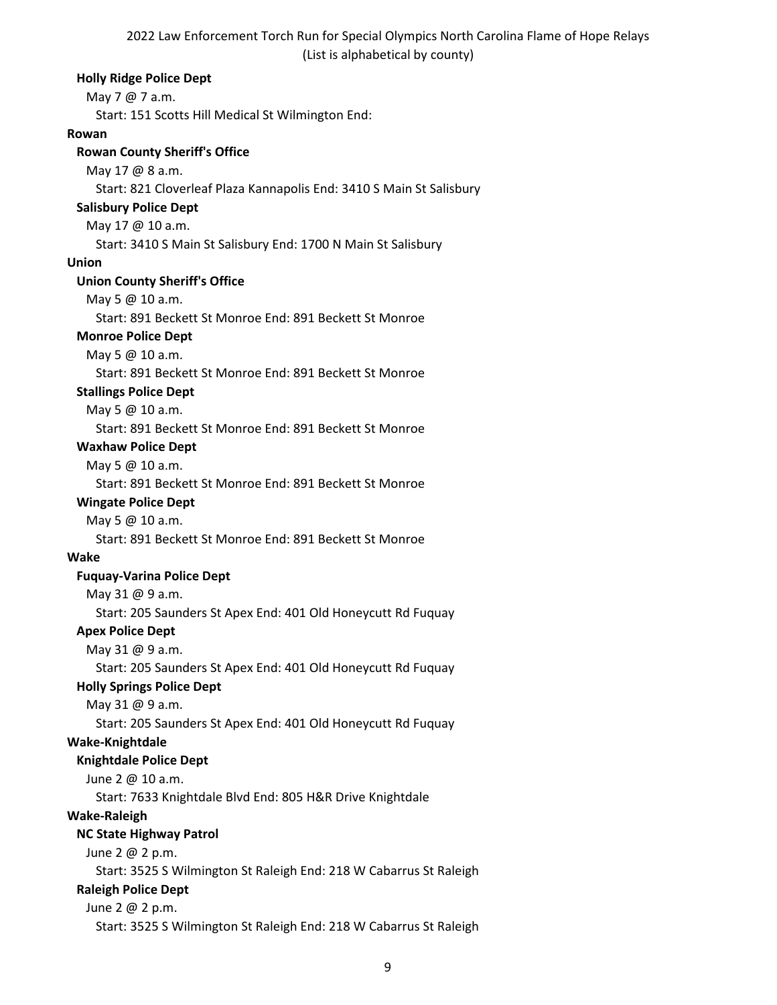**Holly Ridge Police Dept** May 7 @ 7 a.m. Start: 151 Scotts Hill Medical St Wilmington End: **Rowan Rowan County Sheriff's Office** May 17 @ 8 a.m. Start: 821 Cloverleaf Plaza Kannapolis End: 3410 S Main St Salisbury **Salisbury Police Dept** May 17 @ 10 a.m. Start: 3410 S Main St Salisbury End: 1700 N Main St Salisbury **Union Union County Sheriff's Office** May 5 @ 10 a.m. Start: 891 Beckett St Monroe End: 891 Beckett St Monroe **Monroe Police Dept** May 5 @ 10 a.m. Start: 891 Beckett St Monroe End: 891 Beckett St Monroe **Stallings Police Dept** May 5 @ 10 a.m. Start: 891 Beckett St Monroe End: 891 Beckett St Monroe **Waxhaw Police Dept** May 5 @ 10 a.m. Start: 891 Beckett St Monroe End: 891 Beckett St Monroe **Wingate Police Dept** May 5 @ 10 a.m. Start: 891 Beckett St Monroe End: 891 Beckett St Monroe **Wake Fuquay-Varina Police Dept** May 31 @ 9 a.m. Start: 205 Saunders St Apex End: 401 Old Honeycutt Rd Fuquay **Apex Police Dept** May 31 @ 9 a.m. Start: 205 Saunders St Apex End: 401 Old Honeycutt Rd Fuquay **Holly Springs Police Dept** May 31 @ 9 a.m. Start: 205 Saunders St Apex End: 401 Old Honeycutt Rd Fuquay **Wake-Knightdale Knightdale Police Dept** June 2 @ 10 a.m. Start: 7633 Knightdale Blvd End: 805 H&R Drive Knightdale **Wake-Raleigh NC State Highway Patrol** June 2 @ 2 p.m. Start: 3525 S Wilmington St Raleigh End: 218 W Cabarrus St Raleigh **Raleigh Police Dept** June 2 @ 2 p.m. Start: 3525 S Wilmington St Raleigh End: 218 W Cabarrus St Raleigh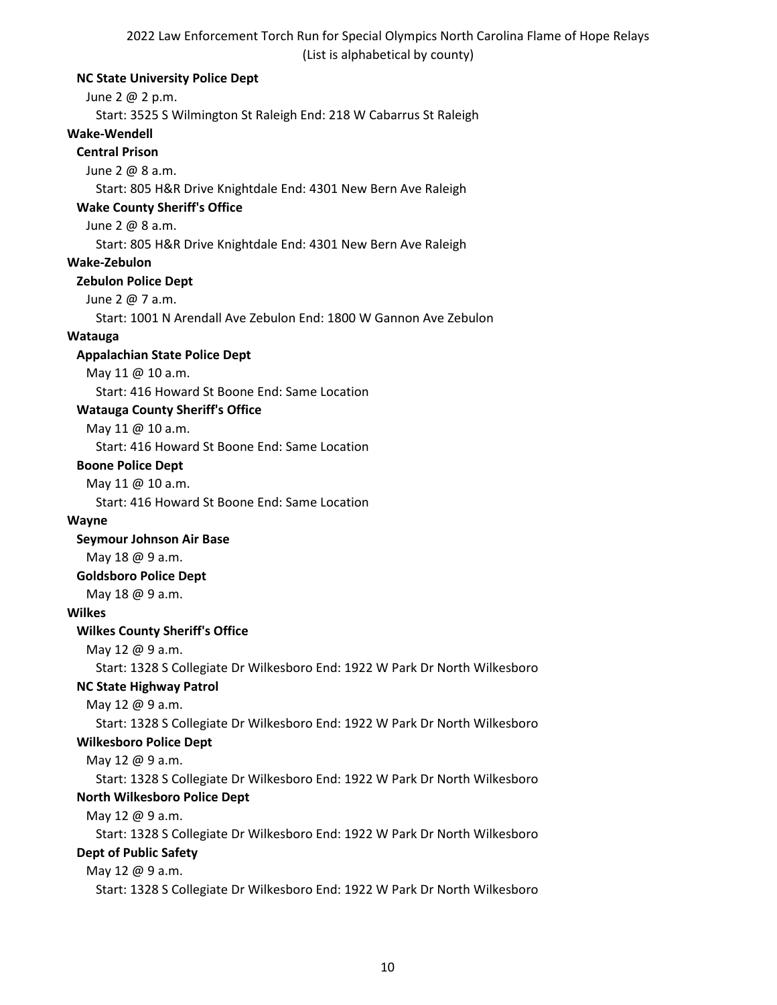## **NC State University Police Dept**

June 2 @ 2 p.m.

Start: 3525 S Wilmington St Raleigh End: 218 W Cabarrus St Raleigh

# **Wake-Wendell**

# **Central Prison**

June 2 @ 8 a.m.

Start: 805 H&R Drive Knightdale End: 4301 New Bern Ave Raleigh

## **Wake County Sheriff's Office**

June 2 @ 8 a.m.

Start: 805 H&R Drive Knightdale End: 4301 New Bern Ave Raleigh

## **Wake-Zebulon**

## **Zebulon Police Dept**

June 2 @ 7 a.m.

Start: 1001 N Arendall Ave Zebulon End: 1800 W Gannon Ave Zebulon

# **Watauga**

## **Appalachian State Police Dept**

May 11 @ 10 a.m.

Start: 416 Howard St Boone End: Same Location

# **Watauga County Sheriff's Office**

May 11 @ 10 a.m.

Start: 416 Howard St Boone End: Same Location

#### **Boone Police Dept**

May 11 @ 10 a.m.

Start: 416 Howard St Boone End: Same Location

#### **Wayne**

**Seymour Johnson Air Base**

May 18 @ 9 a.m.

#### **Goldsboro Police Dept**

May 18 @ 9 a.m.

#### **Wilkes**

#### **Wilkes County Sheriff's Office**

May 12 @ 9 a.m.

Start: 1328 S Collegiate Dr Wilkesboro End: 1922 W Park Dr North Wilkesboro

# **NC State Highway Patrol**

May 12 @ 9 a.m.

Start: 1328 S Collegiate Dr Wilkesboro End: 1922 W Park Dr North Wilkesboro

# **Wilkesboro Police Dept**

May 12 @ 9 a.m.

Start: 1328 S Collegiate Dr Wilkesboro End: 1922 W Park Dr North Wilkesboro **North Wilkesboro Police Dept**

May 12 @ 9 a.m.

Start: 1328 S Collegiate Dr Wilkesboro End: 1922 W Park Dr North Wilkesboro **Dept of Public Safety**

# May 12 @ 9 a.m.

Start: 1328 S Collegiate Dr Wilkesboro End: 1922 W Park Dr North Wilkesboro